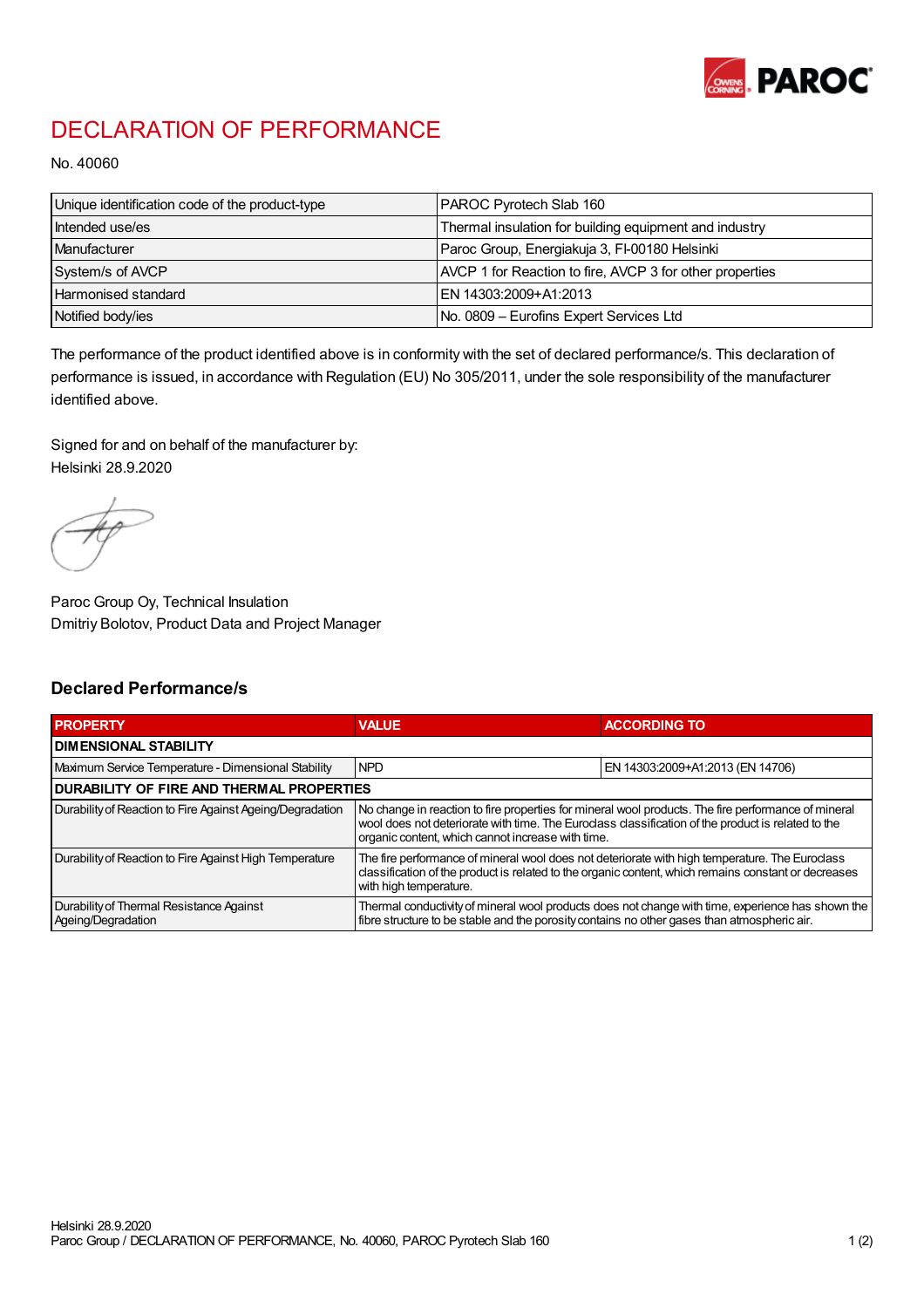

## DECLARATION OF PERFORMANCE

No. 40060

| Unique identification code of the product-type | PAROC Pyrotech Slab 160                                  |
|------------------------------------------------|----------------------------------------------------------|
| Intended use/es                                | Thermal insulation for building equipment and industry   |
| Manufacturer                                   | Paroc Group, Energiakuja 3, FI-00180 Helsinki            |
| System/s of AVCP                               | AVCP 1 for Reaction to fire, AVCP 3 for other properties |
| Harmonised standard                            | IEN 14303:2009+A1:2013                                   |
| Notified body/ies                              | No. 0809 - Eurofins Expert Services Ltd                  |

The performance of the product identified above is in conformity with the set of declared performance/s. This declaration of performance is issued, in accordance with Regulation (EU) No 305/2011, under the sole responsibility of the manufacturer identified above.

Signed for and on behalf of the manufacturer by: Helsinki 28.9.2020

Paroc Group Oy, Technical Insulation Dmitriy Bolotov, Product Data and Project Manager

## Declared Performance/s

| <b>PROPERTY</b>                                                | <b>VALUE</b>                                                                                                                                                                                                                                                   | <b>ACCORDING TO.</b>             |  |
|----------------------------------------------------------------|----------------------------------------------------------------------------------------------------------------------------------------------------------------------------------------------------------------------------------------------------------------|----------------------------------|--|
| <b>DIMENSIONAL STABILITY</b>                                   |                                                                                                                                                                                                                                                                |                                  |  |
| Maximum Service Temperature - Dimensional Stability            | <b>NPD</b>                                                                                                                                                                                                                                                     | EN 14303:2009+A1:2013 (EN 14706) |  |
| <b>DURABILITY OF FIRE AND THERMAL PROPERTIES</b>               |                                                                                                                                                                                                                                                                |                                  |  |
| Durability of Reaction to Fire Against Ageing/Degradation      | No change in reaction to fire properties for mineral wool products. The fire performance of mineral<br>wool does not deteriorate with time. The Euroclass classification of the product is related to the<br>organic content, which cannot increase with time. |                                  |  |
| Durability of Reaction to Fire Against High Temperature        | The fire performance of mineral wool does not deteriorate with high temperature. The Euroclass<br>classification of the product is related to the organic content, which remains constant or decreases<br>with high temperature.                               |                                  |  |
| Durability of Thermal Resistance Against<br>Ageing/Degradation | Thermal conductivity of mineral wool products does not change with time, experience has shown the<br>fibre structure to be stable and the porosity contains no other gases than atmospheric air.                                                               |                                  |  |